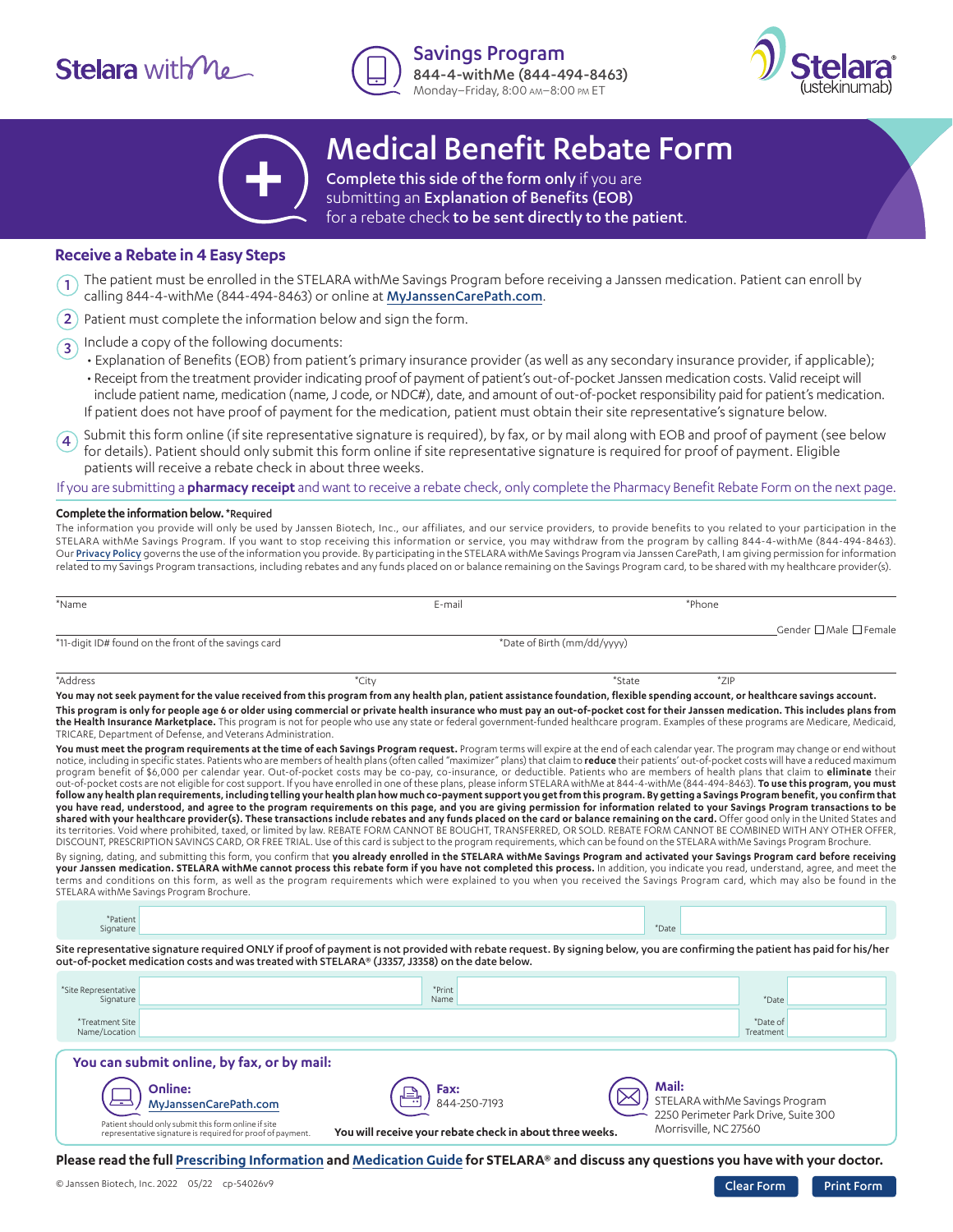# **Stelara** with  $M_e$



Savings Program 844-4-withMe (844-494-8463) Monday–Friday, 8:00 am–8:00 pm ET





## Medical Benefit Rebate Form

Complete this side of the form only if you are submitting an Explanation of Benefits (EOB) for a rebate check **to be sent directly to the patient**.

#### **Receive a Rebate in 4 Easy Steps**

- The patient must be enrolled in the STELARA withMe Savings Program before receiving a Janssen medication. Patient can enroll by calling 844-4-withMe (844-494-8463) or online at [MyJanssenCarePath.com](https://www.myjanssencarepath.com/s/login/SelfRegister?regBy=Self). 1
- Patient must complete the information below and sign the form. 2
- Include a copy of the following documents: 3
	- Explanation of Benefits (EOB) from patient's primary insurance provider (as well as any secondary insurance provider, if applicable); • Receipt from the treatment provider indicating proof of payment of patient's out-of-pocket Janssen medication costs. Valid receipt will include patient name, medication (name, J code, or NDC#), date, and amount of out-of-pocket responsibility paid for patient's medication. If patient does not have proof of payment for the medication, patient must obtain their site representative's signature below.

Submit this form online (if site representative signature is required), by fax, or by mail along with EOB and proof of payment (see below for details). Patient should only submit this form online if site representative signature is required for proof of payment. Eligible patients will receive a rebate check in about three weeks. 4

If you are submitting a **pharmacy receipt** and want to receive a rebate check, only complete the Pharmacy Benefit Rebate Form on the next page.

#### **Complete the information below.** \*Required

The information you provide will only be used by Janssen Biotech, Inc., our affiliates, and our service providers, to provide benefits to you related to your participation in the STELARA withMe Savings Program. If you want to stop receiving this information or service, you may withdraw from the program by calling 844-4-withMe (844-494-8463). Our [Privacy Policy](https://stelarawithme.com/privacy-policy) governs the use of the information you provide. By participating in the STELARA withMe Savings Program via Janssen CarePath, I am giving permission for information related to my Savings Program transactions, including rebates and any funds placed on or balance remaining on the Savings Program card, to be shared with my healthcare provider(s).

| E-mail | *Phone                      |                        |
|--------|-----------------------------|------------------------|
|        |                             | Gender □ Male □ Female |
|        |                             |                        |
|        | *Date of Birth (mm/dd/yyyy) |                        |

\*Address \*City \*City \*City \*City \*City \*State \*ZIP \*State \*ZIP **You may not seek payment for the value received from this program from any health plan, patient assistance foundation, flexible spending account, or healthcare savings account. This program is only for people age 6 or older using commercial or private health insurance who must pay an out-of-pocket cost for their Janssen medication. This includes plans from the Health Insurance Marketplace.** This program is not for people who use any state or federal government-funded healthcare program. Examples of these programs are Medicare, Medicaid, TRICARE, Department of Defense, and Veterans Administration.

You must meet the program requirements at the time of each Savings Program request. Program terms will expire at the end of each calendar year. The program may change or end without notice, including in specific states. Patients who are members of health plans (often called "maximizer" plans) that claim to **reduce** their patients' out-of-pocket costs will have a reduced maximum program benefit of \$6,000 per calendar year. Out-of-pocket costs may be co-pay, co-insurance, or deductible. Patients who are members of health plans that claim to **eliminate** their out-of-pocket costs are not eligible for cost support. If you have enrolled in one of these plans, please inform STELARA withMe at 844-4-withMe (844-494-8463). **To use this program, you must follow any health plan requirements, including telling your health plan how much co-payment support you get from this program. By getting a Savings Program benefit, you confirm that you have read, understood, and agree to the program requirements on this page, and you are giving permission for information related to your Savings Program transactions to be**  shared with your healthcare provider(s). These transactions include rebates and any funds placed on the card or balance remaining on the card. Offer good only in the United States and its territories. Void where prohibited, taxed, or limited by law. REBATE FORM CANNOT BE BOUGHT, TRANSFERRED, OR SOLD. REBATE FORM CANNOT BE COMBINED WITH ANY OTHER OFFER, DISCOUNT, PRESCRIPTION SAVINGS CARD, OR FREE TRIAL. Use of this card is subject to the program requirements, which can be found on the STELARA withMe Savings Program Brochure.

By signing, dating, and submitting this form, you confirm that you already enrolled in the STELARA withMe Savings Program and activated your Savings Program card before receiving **your Janssen medication. STELARA withMe cannot process this rebate form if you have not completed this process.** In addition, you indicate you read, understand, agree, and meet the terms and conditions on this form, as well as the program requirements which were explained to you when you received the Savings Program card, which may also be found in the STELARA withMe Savings Program Brochure.

| *Patient<br>Signature |                                                                                                                                                                                                                                                                              | *Date |  |
|-----------------------|------------------------------------------------------------------------------------------------------------------------------------------------------------------------------------------------------------------------------------------------------------------------------|-------|--|
|                       | Site representative signature required ONLY if proof of payment is not provided with rebate request. By signing below, you are confirming the patient has paid for his/her<br>out-of-pocket medication costs and was treated with STELARA® (J3357, J3358) on the date below. |       |  |

| *Site Representative<br>Signature                                                                                 | *Print<br>Name                                           | *Date                                                                           |
|-------------------------------------------------------------------------------------------------------------------|----------------------------------------------------------|---------------------------------------------------------------------------------|
| *Treatment Site<br>Name/Location                                                                                  |                                                          | *Date of<br>Treatment                                                           |
| You can submit online, by fax, or by mail:                                                                        |                                                          |                                                                                 |
| Online:<br>MyJanssenCarePath.com                                                                                  | Fax:<br>≗ا<br>844-250-7193                               | Mail:<br>STELARA withMe Savings Program<br>2250 Perimeter Park Drive, Suite 300 |
| Patient should only submit this form online if site<br>representative signature is required for proof of payment. | You will receive your rebate check in about three weeks. | Morrisville, NC 27560                                                           |

**Please read the full [Prescribing Information](https://www.janssenlabels.com/package-insert/product-monograph/prescribing-information/STELARA-pi.pdf) and [Medication Guide](https://www.janssenlabels.com/package-insert/product-patient-information/STELARA-medication-guide.pdf) for STELARA® and discuss any questions you have with your doctor.**